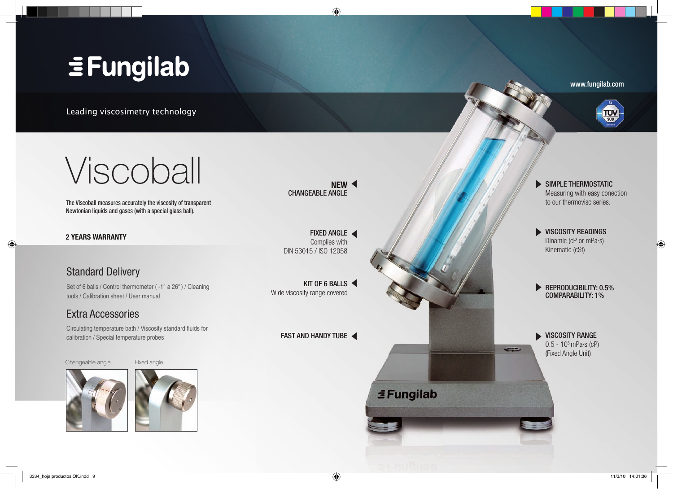# **EFungilab**

Leading viscosimetry technology





 $\bigoplus$ 

Viscoball

The Viscoball measures accurately the viscosity of transparent Newtonian liquids and gases (with a special glass ball).

**2 YEARS WARRANTY**

◈

## Standard Delivery

Set of 6 balls / Control thermometer ( -1° a 26°) / Cleaning tools / Calibration sheet / User manual

## Extra Accessories

Circulating temperature bath / Viscosity standard fluids for calibration / Special temperature probes

### Changeable angle Fixed angle





**NEW** CHANGEABLE ANGLE

 $\bigoplus$ 

FIXED ANGLE < Complies with DIN 53015 / ISO 12058

KIT OF 6 BALLS

FAST AND HANDY TUBE